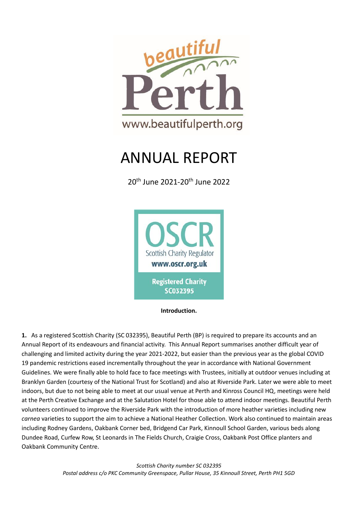

# ANNUAL REPORT

20th June 2021-20th June 2022



**Introduction.** 

**1.** As a registered Scottish Charity (SC 032395), Beautiful Perth (BP) is required to prepare its accounts and an Annual Report of its endeavours and financial activity. This Annual Report summarises another difficult year of challenging and limited activity during the year 2021-2022, but easier than the previous year as the global COVID 19 pandemic restrictions eased incrementally throughout the year in accordance with National Government Guidelines. We were finally able to hold face to face meetings with Trustees, initially at outdoor venues including at Branklyn Garden (courtesy of the National Trust for Scotland) and also at Riverside Park. Later we were able to meet indoors, but due to not being able to meet at our usual venue at Perth and Kinross Council HQ, meetings were held at the Perth Creative Exchange and at the Salutation Hotel for those able to attend indoor meetings. Beautiful Perth volunteers continued to improve the Riverside Park with the introduction of more heather varieties including new *carnea* varieties to support the aim to achieve a National Heather Collection. Work also continued to maintain areas including Rodney Gardens, Oakbank Corner bed, Bridgend Car Park, Kinnoull School Garden, various beds along Dundee Road, Curfew Row, St Leonards in The Fields Church, Craigie Cross, Oakbank Post Office planters and Oakbank Community Centre.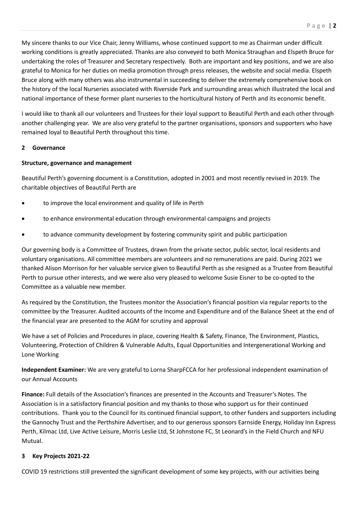My sincere thanks to our Vice Chair, Jenny Williams, whose continued support to me as Chairman under difficult working conditions is greatly appreciated. Thanks are also conveyed to both Monica Straughan and Elspeth Bruce for undertaking the roles of Treasurer and Secretary respectively. Both are important and key positions, and we are also grateful to Monica for her duties on media promotion through press releases, the website and social media. Elspeth Bruce along with many others was also instrumental in succeeding to deliver the extremely comprehensive book on the history of the local Nurseries associated with Riverside Park and surrounding areas which illustrated the local and national importance of these former plant nurseries to the horticultural history of Perth and its economic benefit.

I would like to thank all our volunteers and Trustees for their loyal support to Beautiful Perth and each other through another challenging year. We are also very grateful to the partner organisations, sponsors and supporters who have remained loyal to Beautiful Perth throughout this time.

#### **2 Governance**

#### **Structure, governance and management**

Beautiful Perth's governing document is a Constitution, adopted in 2001 and most recently revised in 2019. The charitable objectives of Beautiful Perth are

- to improve the local environment and quality of life in Perth
- to enhance environmental education through environmental campaigns and projects
- to advance community development by fostering community spirit and public participation

Our governing body is a Committee of Trustees, drawn from the private sector, public sector, local residents and voluntary organisations. All committee members are volunteers and no remunerations are paid. During 2021 we thanked Alison Morrison for her valuable service given to Beautiful Perth as she resigned as a Trustee from Beautiful Perth to pursue other interests, and we were also very pleased to welcome Susie Eisner to be co-opted to the Committee as a valuable new member.

As required by the Constitution, the Trustees monitor the Association's financial position via regular reports to the committee by the Treasurer. Audited accounts of the Income and Expenditure and of the Balance Sheet at the end of the financial year are presented to the AGM for scrutiny and approval

We have a set of Policies and Procedures in place, covering Health & Safety, Finance, The Environment, Plastics, Volunteering, Protection of Children & Vulnerable Adults, Equal Opportunities and Intergenerational Working and Lone Working

**Independent Examiner:** We are very grateful to Lorna SharpFCCA for her professional independent examination of our Annual Accounts

**Finance:** Full details of the Association's finances are presented in the Accounts and Treasurer's Notes. The Association is in a satisfactory financial position and my thanks to those who support us for their continued contributions. Thank you to the Council for its continued financial support, to other funders and supporters including the Gannochy Trust and the Perthshire Advertiser, and to our generous sponsors Earnside Energy, Holiday Inn Express Perth, Kilmac Ltd, Live Active Leisure, Morris Leslie Ltd, St Johnstone FC, St Leonard's in the Field Church and NFU Mutual.

# **3 Key Projects 2021-22**

COVID 19 restrictions still prevented the significant development of some key projects, with our activities being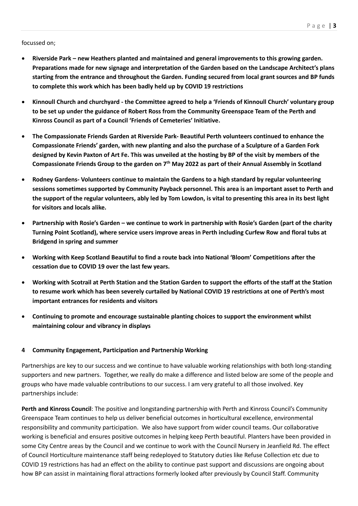#### focussed on;

- **Riverside Park – new Heathers planted and maintained and general improvements to this growing garden. Preparations made for new signage and interpretation of the Garden based on the Landscape Architect's plans starting from the entrance and throughout the Garden. Funding secured from local grant sources and BP funds to complete this work which has been badly held up by COVID 19 restrictions**
- **Kinnoull Church and churchyard - the Committee agreed to help a 'Friends of Kinnoull Church' voluntary group to be set up under the guidance of Robert Ross from the Community Greenspace Team of the Perth and Kinross Council as part of a Council 'Friends of Cemeteries' Initiative.**
- **The Compassionate Friends Garden at Riverside Park- Beautiful Perth volunteers continued to enhance the Compassionate Friends' garden, with new planting and also the purchase of a Sculpture of a Garden Fork designed by Kevin Paxton of Art Fe. This was unveiled at the hosting by BP of the visit by members of the Compassionate Friends Group to the garden on 7th May 2022 as part of their Annual Assembly in Scotland**
- **Rodney Gardens- Volunteers continue to maintain the Gardens to a high standard by regular volunteering sessions sometimes supported by Community Payback personnel. This area is an important asset to Perth and the support of the regular volunteers, ably led by Tom Lowdon, is vital to presenting this area in its best light for visitors and locals alike.**
- **Partnership with Rosie's Garden – we continue to work in partnership with Rosie's Garden (part of the charity Turning Point Scotland), where service users improve areas in Perth including Curfew Row and floral tubs at Bridgend in spring and summer**
- **Working with Keep Scotland Beautiful to find a route back into National 'Bloom' Competitions after the cessation due to COVID 19 over the last few years.**
- **Working with Scotrail at Perth Station and the Station Garden to support the efforts of the staff at the Station to resume work which has been severely curtailed by National COVID 19 restrictions at one of Perth's most important entrances for residents and visitors**
- **Continuing to promote and encourage sustainable planting choices to support the environment whilst maintaining colour and vibrancy in displays**

#### **4 Community Engagement, Participation and Partnership Working**

Partnerships are key to our success and we continue to have valuable working relationships with both long-standing supporters and new partners. Together, we really do make a difference and listed below are some of the people and groups who have made valuable contributions to our success. I am very grateful to all those involved. Key partnerships include:

**Perth and Kinross Council**: The positive and longstanding partnership with Perth and Kinross Council's Community Greenspace Team continues to help us deliver beneficial outcomes in horticultural excellence, environmental responsibility and community participation. We also have support from wider council teams. Our collaborative working is beneficial and ensures positive outcomes in helping keep Perth beautiful. Planters have been provided in some City Centre areas by the Council and we continue to work with the Council Nursery in Jeanfield Rd. The effect of Council Horticulture maintenance staff being redeployed to Statutory duties like Refuse Collection etc due to COVID 19 restrictions has had an effect on the ability to continue past support and discussions are ongoing about how BP can assist in maintaining floral attractions formerly looked after previously by Council Staff. Community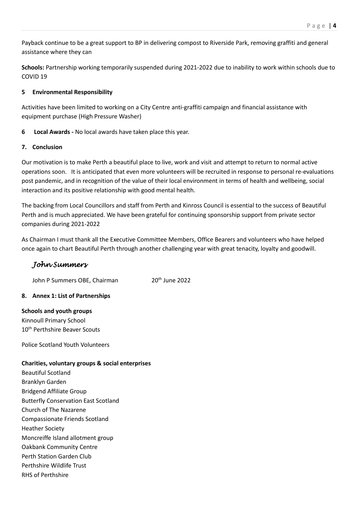Payback continue to be a great support to BP in delivering compost to Riverside Park, removing graffiti and general assistance where they can

**Schools:** Partnership working temporarily suspended during 2021-2022 due to inability to work within schools due to COVID 19

# **5 Environmental Responsibility**

Activities have been limited to working on a City Centre anti-graffiti campaign and financial assistance with equipment purchase (High Pressure Washer)

**6 Local Awards -** No local awards have taken place this year.

# **7. Conclusion**

Our motivation is to make Perth a beautiful place to live, work and visit and attempt to return to normal active operations soon. It is anticipated that even more volunteers will be recruited in response to personal re-evaluations post pandemic, and in recognition of the value of their local environment in terms of health and wellbeing, social interaction and its positive relationship with good mental health.

The backing from Local Councillors and staff from Perth and Kinross Council is essential to the success of Beautiful Perth and is much appreciated. We have been grateful for continuing sponsorship support from private sector companies during 2021-2022

As Chairman I must thank all the Executive Committee Members, Office Bearers and volunteers who have helped once again to chart Beautiful Perth through another challenging year with great tenacity, loyalty and goodwill.

# *John Summers*

John P Summers OBE, Chairman 20<sup>th</sup> June 2022

# **8. Annex 1: List of Partnerships**

# **Schools and youth groups**

Kinnoull Primary School 10th Perthshire Beaver Scouts

Police Scotland Youth Volunteers

# **Charities, voluntary groups & social enterprises**

Beautiful Scotland Branklyn Garden Bridgend Affiliate Group Butterfly Conservation East Scotland Church of The Nazarene Compassionate Friends Scotland Heather Society Moncreiffe Island allotment group Oakbank Community Centre Perth Station Garden Club Perthshire Wildlife Trust RHS of Perthshire